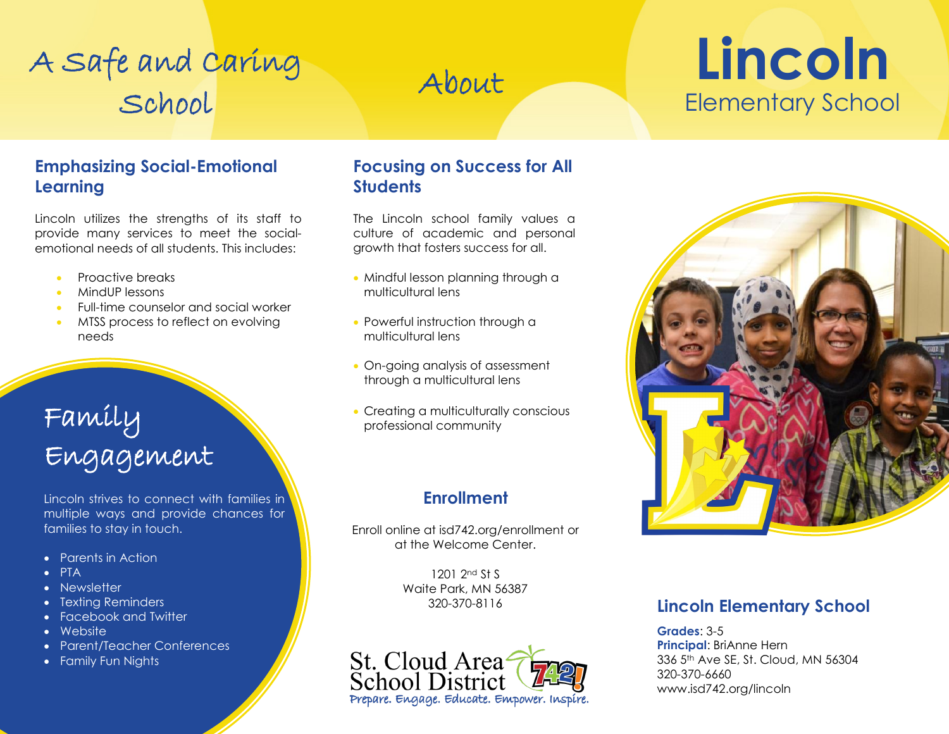# A Safe and Caring<br>About School

# **Lincoln**  Elementary School

#### **Emphasizing Social-Emotional Learning**

 Lincoln utilizes the strengths of its staff to provide many services to meet the socialemotional needs of all students. This includes:

- Proactive breaks
- MindUP lessons
- Full-time counselor and social worker
- MTSS process to reflect on evolving needs

### Family Engagement

Lincoln strives to connect with families in multiple ways and provide chances for families to stay in touch.

- Parents in Action
- PTA
- Newsletter
- Texting Reminders
- Facebook and Twitter
- Website
- Parent/Teacher Conferences
- Family Fun Nights

#### **Focusing on Success for All Students**

The Lincoln school family values a culture of academic and personal growth that fosters success for all.

- Mindful lesson planning through a multicultural lens
- Powerful instruction through a multicultural lens
- On-going analysis of assessment through a multicultural lens
- Creating a multiculturally conscious professional community

### **Enrollment**

Enroll online at [isd742.org/enrollment](https://isd742.org/enrollment) or at the Welcome Center.

> 1201 2nd St S Waite Park, MN 56387





#### 320-370-8116 **Lincoln Elementary School**

**Grades**: 3-5 **Principal**: BriAnne Hern 336 5th Ave SE, St. Cloud, MN 56304 320-370-6660 <www.isd742.org/lincoln>